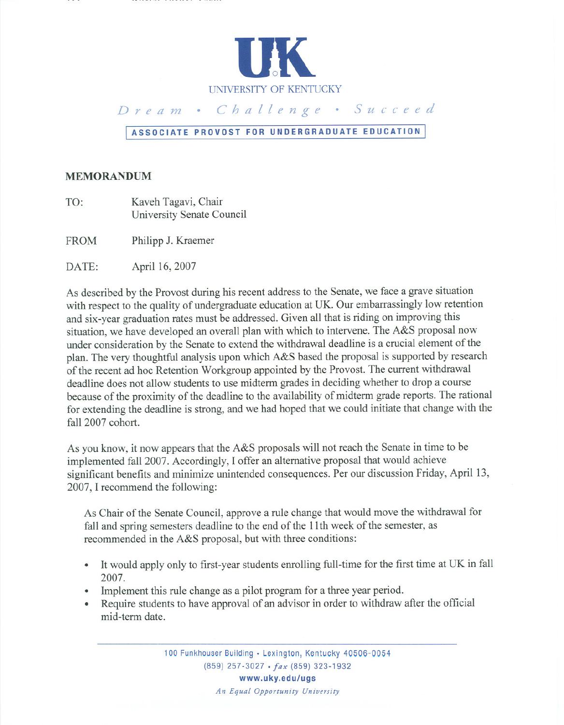

## Dream · Challenge · Succeed

## **<sup>I</sup> ASSOCIATE PROVOST FOR UNDERGRADUATE EDUCATION <sup>I</sup>**

## **MEMORANDUM**

TO: Kaveh Tagavi, Chair University Senate Council

FROM Philipp J. Kraemer

DATE: April 16, 2007

As described by the Provost during his recent address to the Senate, we face a grave situation with respect to the quality of undergraduate education at UK. Our embarrassingly low retention and six-year graduation rates must be addressed. Given all that is riding on improving this situation, we have developed an overall plan with which to intervene. The A&S proposal now under consideration by the Senate to extend the withdrawal deadline is a crucial element of the plan. The very thoughtful analysis upon which A&S based the proposal is supported by research of the recent ad hoc Retention Workgroup appointed by the Provost. The current withdrawal deadline does not allow students to use midterm grades in deciding whether to drop a course because of the proximity of the deadline to the availability of midterm grade reports. The rational for extending the deadline is strong, and we had hoped that we could initiate that change with the fall 2007 cohort.

As you know, it now appears that the A&S proposals will not reach the Senate in time to be implemented fall 2007. Accordingly,I offer an alternative proposal that would achieve significant benefits and minimize unintended consequences. Per our discussion Friday, April 13, 2007, I recommend the following:

As Chair of the Senate Council, approve a rule change that would move the withdrawal for fall and spring semesters deadline to the end of the 11th week of the semester, as recommended in the A&S proposal, but with three conditions:

- . It would apply only to first-year students enrolling full-time for the first time at UK in fall 2007.
- 2007.<br>
Implement this rule change as a pilot program for a three year period.
- Require students to have approval of an advisor in order to withdraw after the official mid-term date. .

100 Funkhouser Building • Lexington, Kentucky 40506-0054 (859) 257-3027 .*fax* (859) 323-1932 **www.uky.edu/ugs** *An Equal Opportunity University*